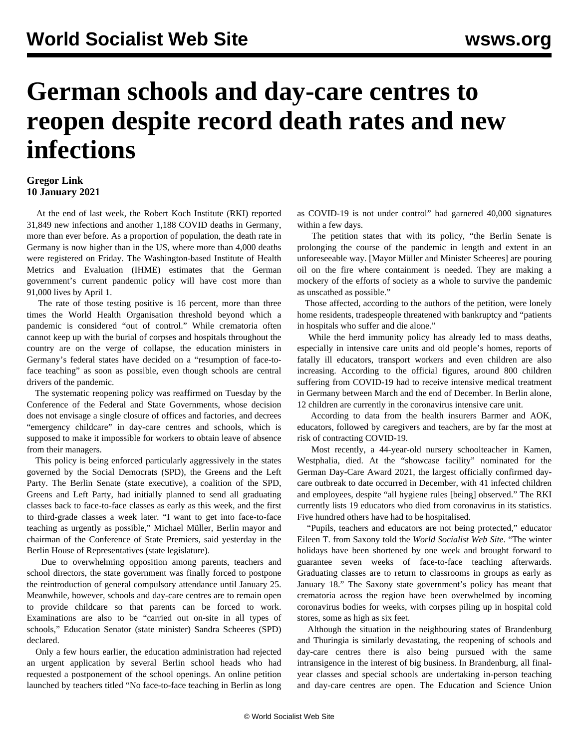## **German schools and day-care centres to reopen despite record death rates and new infections**

## **Gregor Link 10 January 2021**

 At the end of last week, the Robert Koch Institute (RKI) reported 31,849 new infections and another 1,188 COVID deaths in Germany, more than ever before. As a proportion of population, the death rate in Germany is now higher than in the US, where more than 4,000 deaths were registered on Friday. The Washington-based Institute of Health Metrics and Evaluation (IHME) estimates that the German government's current pandemic policy will have cost more than 91,000 lives by April 1.

 The rate of those testing positive is 16 percent, more than three times the World Health Organisation threshold beyond which a pandemic is considered "out of control." While crematoria often cannot keep up with the burial of corpses and hospitals throughout the country are on the verge of collapse, the education ministers in Germany's federal states have decided on a "resumption of face-toface teaching" as soon as possible, even though schools are central drivers of the pandemic.

 The systematic reopening policy was reaffirmed on Tuesday by the Conference of the Federal and State Governments, whose decision does not envisage a single closure of offices and factories, and decrees "emergency childcare" in day-care centres and schools, which is supposed to make it impossible for workers to obtain leave of absence from their managers.

 This policy is being enforced particularly aggressively in the states governed by the Social Democrats (SPD), the Greens and the Left Party. The Berlin Senate (state executive), a coalition of the SPD, Greens and Left Party, had initially planned to send all graduating classes back to face-to-face classes as early as this week, and the first to third-grade classes a week later. "I want to get into face-to-face teaching as urgently as possible," Michael Müller, Berlin mayor and chairman of the Conference of State Premiers, said yesterday in the Berlin House of Representatives (state legislature).

 Due to overwhelming opposition among parents, teachers and school directors, the state government was finally forced to postpone the reintroduction of general compulsory attendance until January 25. Meanwhile, however, schools and day-care centres are to remain open to provide childcare so that parents can be forced to work. Examinations are also to be "carried out on-site in all types of schools," Education Senator (state minister) Sandra Scheeres (SPD) declared.

 Only a few hours earlier, the education administration had rejected an urgent application by several Berlin school heads who had requested a postponement of the school openings. An online petition launched by teachers titled "No face-to-face teaching in Berlin as long as COVID-19 is not under control" had garnered 40,000 signatures within a few days.

 The petition states that with its policy, "the Berlin Senate is prolonging the course of the pandemic in length and extent in an unforeseeable way. [Mayor Müller and Minister Scheeres] are pouring oil on the fire where containment is needed. They are making a mockery of the efforts of society as a whole to survive the pandemic as unscathed as possible."

 Those affected, according to the authors of the petition, were lonely home residents, tradespeople threatened with bankruptcy and "patients in hospitals who suffer and die alone."

 While the herd immunity policy has already led to mass deaths, especially in intensive care units and old people's homes, reports of fatally ill educators, transport workers and even children are also increasing. According to the official figures, around 800 children suffering from COVID-19 had to receive intensive medical treatment in Germany between March and the end of December. In Berlin alone, 12 children are currently in the coronavirus intensive care unit.

 According to data from the health insurers Barmer and AOK, educators, followed by caregivers and teachers, are by far the most at risk of contracting COVID-19.

 Most recently, a 44-year-old nursery schoolteacher in Kamen, Westphalia, died. At the "showcase facility" nominated for the German Day-Care Award 2021, the largest officially confirmed daycare outbreak to date occurred in December, with 41 infected children and employees, despite "all hygiene rules [being] observed." The RKI currently lists 19 educators who died from coronavirus in its statistics. Five hundred others have had to be hospitalised.

 "Pupils, teachers and educators are not being protected," educator Eileen T. from Saxony told the *World Socialist Web Site*. "The winter holidays have been shortened by one week and brought forward to guarantee seven weeks of face-to-face teaching afterwards. Graduating classes are to return to classrooms in groups as early as January 18." The Saxony state government's policy has meant that crematoria across the region have been overwhelmed by incoming coronavirus bodies for weeks, with corpses piling up in hospital cold stores, some as high as six feet.

 Although the situation in the neighbouring states of Brandenburg and Thuringia is similarly devastating, the reopening of schools and day-care centres there is also being pursued with the same intransigence in the interest of big business. In Brandenburg, all finalyear classes and special schools are undertaking in-person teaching and day-care centres are open. The Education and Science Union